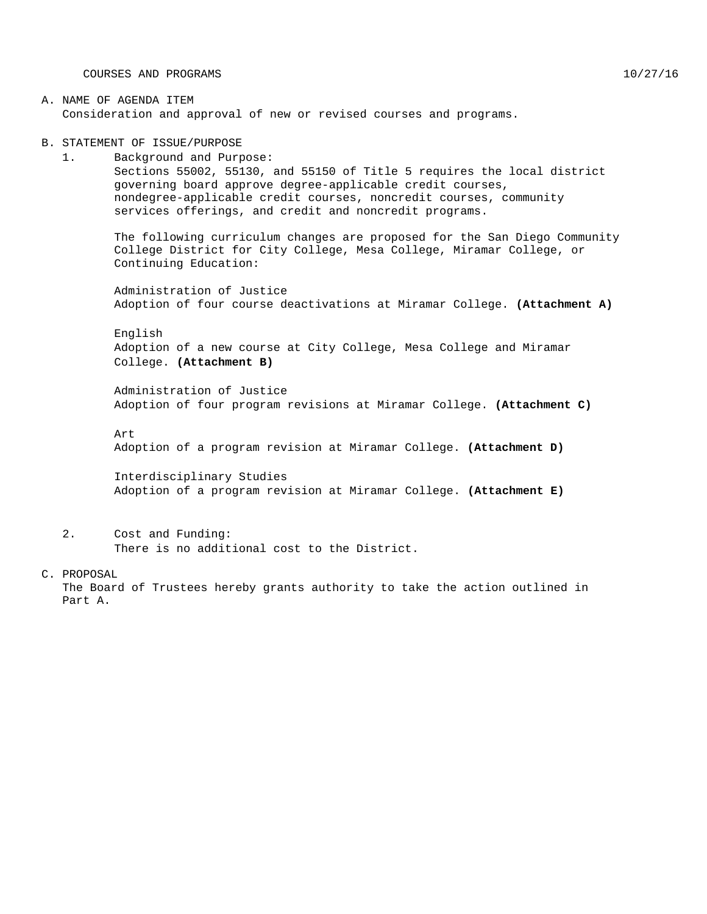COURSES AND PROGRAMS 10/27/16

### A. NAME OF AGENDA ITEM Consideration and approval of new or revised courses and programs.

B. STATEMENT OF ISSUE/PURPOSE

1. Background and Purpose: Sections 55002, 55130, and 55150 of Title 5 requires the local district governing board approve degree-applicable credit courses, nondegree-applicable credit courses, noncredit courses, community services offerings, and credit and noncredit programs.

The following curriculum changes are proposed for the San Diego Community College District for City College, Mesa College, Miramar College, or Continuing Education:

Administration of Justice Adoption of four course deactivations at Miramar College. **(Attachment A)**

English Adoption of a new course at City College, Mesa College and Miramar College. **(Attachment B)**

Administration of Justice Adoption of four program revisions at Miramar College. **(Attachment C)**

Art

Adoption of a program revision at Miramar College. **(Attachment D)**

Interdisciplinary Studies Adoption of a program revision at Miramar College. **(Attachment E)**

2. Cost and Funding:

There is no additional cost to the District.

C. PROPOSAL

The Board of Trustees hereby grants authority to take the action outlined in Part A.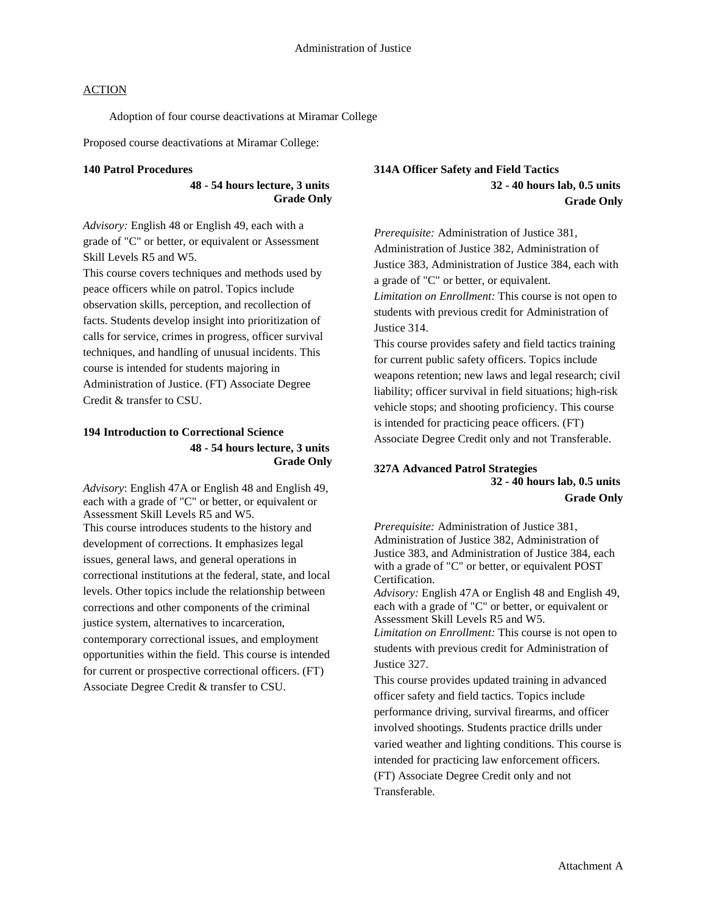Adoption of four course deactivations at Miramar College

Proposed course deactivations at Miramar College:

#### **140 Patrol Procedures**

**48 - 54 hours lecture, 3 units Grade Only**

*Advisory:* English 48 or English 49, each with a grade of "C" or better, or equivalent or Assessment Skill Levels R5 and W5.

This course covers techniques and methods used by peace officers while on patrol. Topics include observation skills, perception, and recollection of facts. Students develop insight into prioritization of calls for service, crimes in progress, officer survival techniques, and handling of unusual incidents. This course is intended for students majoring in Administration of Justice. (FT) Associate Degree Credit & transfer to CSU.

### **194 Introduction to Correctional Science 48 - 54 hours lecture, 3 units Grade Only**

*Advisory*: English 47A or English 48 and English 49, each with a grade of "C" or better, or equivalent or Assessment Skill Levels R5 and W5. This course introduces students to the history and development of corrections. It emphasizes legal issues, general laws, and general operations in correctional institutions at the federal, state, and local levels. Other topics include the relationship between corrections and other components of the criminal justice system, alternatives to incarceration, contemporary correctional issues, and employment opportunities within the field. This course is intended for current or prospective correctional officers. (FT) Associate Degree Credit & transfer to CSU.

### **314A Officer Safety and Field Tactics 32 - 40 hours lab, 0.5 units Grade Only**

*Prerequisite:* Administration of Justice 381, Administration of Justice 382, Administration of Justice 383, Administration of Justice 384, each with a grade of "C" or better, or equivalent. *Limitation on Enrollment:* This course is not open to students with previous credit for Administration of Justice 314.

This course provides safety and field tactics training for current public safety officers. Topics include weapons retention; new laws and legal research; civil liability; officer survival in field situations; high-risk vehicle stops; and shooting proficiency. This course is intended for practicing peace officers. (FT) Associate Degree Credit only and not Transferable.

### **327A Advanced Patrol Strategies 32 - 40 hours lab, 0.5 units Grade Only**

*Prerequisite:* Administration of Justice 381, Administration of Justice 382, Administration of Justice 383, and Administration of Justice 384, each with a grade of "C" or better, or equivalent POST Certification.

*Advisory:* English 47A or English 48 and English 49, each with a grade of "C" or better, or equivalent or Assessment Skill Levels R5 and W5. *Limitation on Enrollment:* This course is not open to students with previous credit for Administration of

Justice 327.

This course provides updated training in advanced officer safety and field tactics. Topics include performance driving, survival firearms, and officer involved shootings. Students practice drills under varied weather and lighting conditions. This course is intended for practicing law enforcement officers. (FT) Associate Degree Credit only and not Transferable.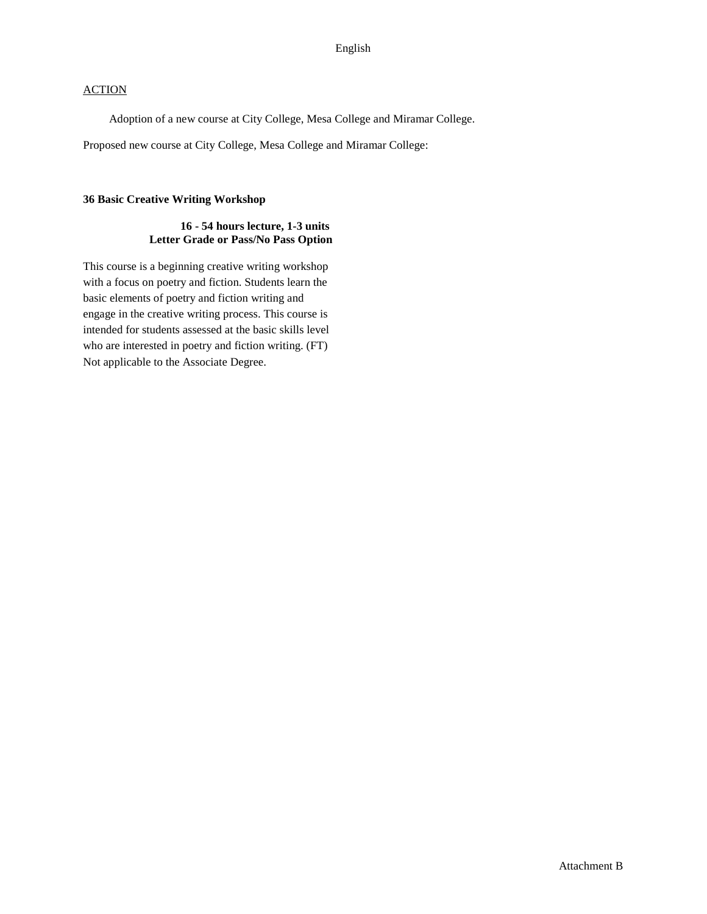Adoption of a new course at City College, Mesa College and Miramar College.

Proposed new course at City College, Mesa College and Miramar College:

### **36 Basic Creative Writing Workshop**

### **16 - 54 hours lecture, 1-3 units Letter Grade or Pass/No Pass Option**

This course is a beginning creative writing workshop with a focus on poetry and fiction. Students learn the basic elements of poetry and fiction writing and engage in the creative writing process. This course is intended for students assessed at the basic skills level who are interested in poetry and fiction writing. (FT) Not applicable to the Associate Degree.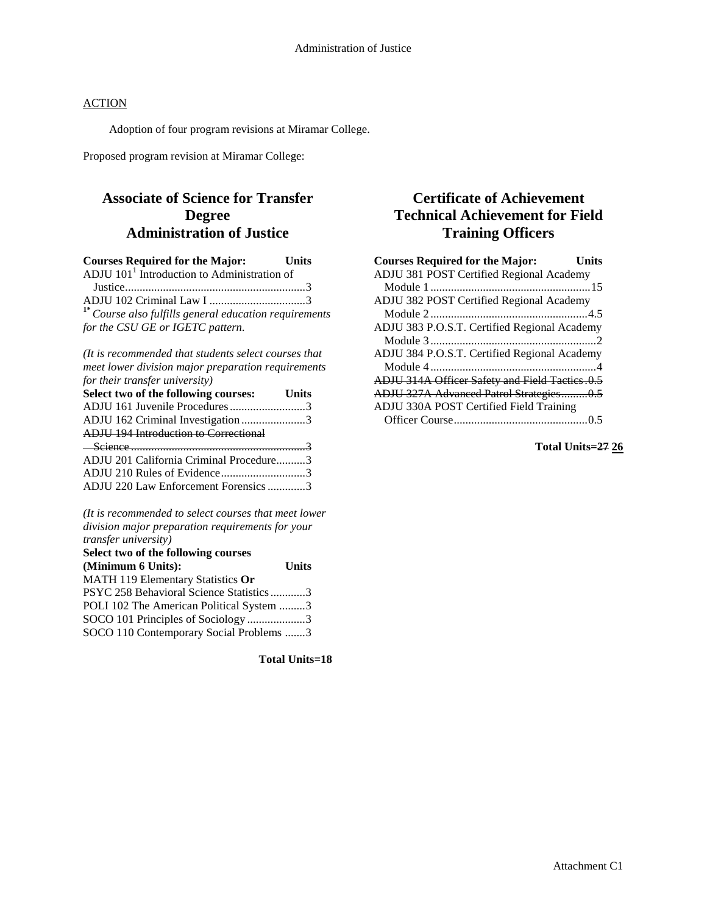Adoption of four program revisions at Miramar College.

Proposed program revision at Miramar College:

### **Associate of Science for Transfer Degree Administration of Justice**

| <b>Courses Required for the Major:</b>                    | <b>Units</b> |
|-----------------------------------------------------------|--------------|
| ADJU $1011$ Introduction to Administration of             |              |
|                                                           |              |
|                                                           |              |
| $1^*$ Course also fulfills general education requirements |              |
| for the CSU GE or IGETC pattern.                          |              |

*(It is recommended that students select courses that meet lower division major preparation requirements for their transfer university)*

| Select two of the following courses: Units   |  |
|----------------------------------------------|--|
| ADJU 161 Juvenile Procedures3                |  |
| ADJU 162 Criminal Investigation3             |  |
| <b>ADIU 194 Introduction to Correctional</b> |  |
|                                              |  |
| $-$ Science 3                                |  |
| ADJU 201 California Criminal Procedure3      |  |
| ADJU 210 Rules of Evidence3                  |  |

*(It is recommended to select courses that meet lower division major preparation requirements for your transfer university)*

| Select two of the following courses      |              |
|------------------------------------------|--------------|
| (Minimum 6 Units):                       | <b>Units</b> |
| MATH 119 Elementary Statistics Or        |              |
| PSYC 258 Behavioral Science Statistics3  |              |
| POLI 102 The American Political System 3 |              |
| SOCO 101 Principles of Sociology3        |              |
| SOCO 110 Contemporary Social Problems 3  |              |

**Total Units=18**

### **Certificate of Achievement Technical Achievement for Field Training Officers**

| <b>Courses Required for the Major:</b><br>Units |
|-------------------------------------------------|
| ADJU 381 POST Certified Regional Academy        |
|                                                 |
| ADJU 382 POST Certified Regional Academy        |
|                                                 |
| ADJU 383 P.O.S.T. Certified Regional Academy    |
|                                                 |
| ADJU 384 P.O.S.T. Certified Regional Academy    |
|                                                 |
| ADJU 314A Officer Safety and Field Tactics.0.5  |
| ADJU 327A Advanced Patrol Strategies0.5         |
| ADJU 330A POST Certified Field Training         |
|                                                 |

**Total Units=27 26**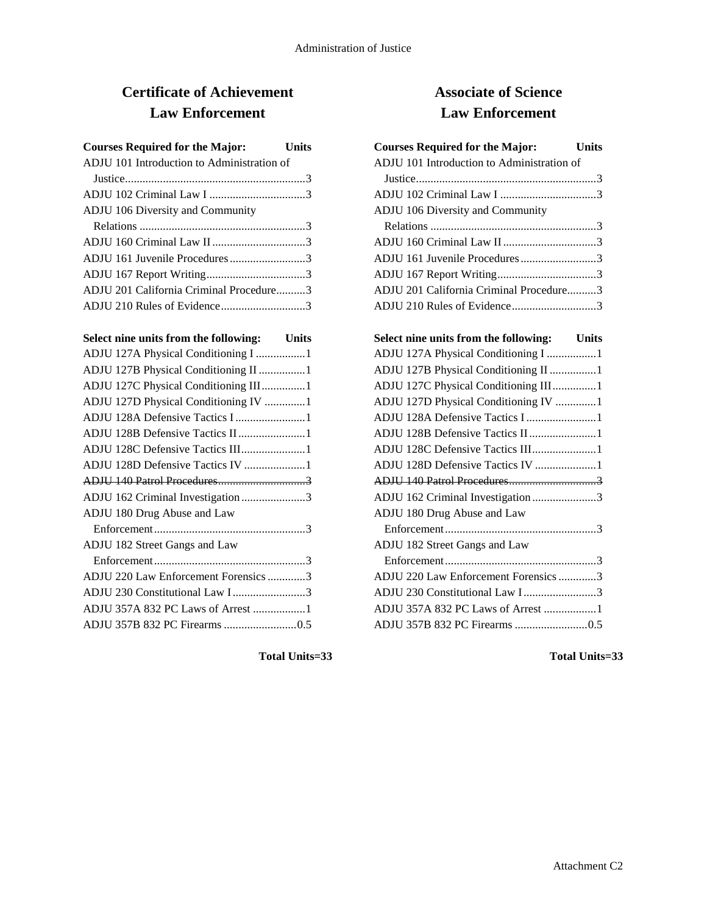# **Certificate of Achievement Law Enforcement**

| <b>Courses Required for the Major:</b> Units |  |
|----------------------------------------------|--|
| ADJU 101 Introduction to Administration of   |  |
|                                              |  |
|                                              |  |
| ADJU 106 Diversity and Community             |  |
|                                              |  |
|                                              |  |
| ADJU 161 Juvenile Procedures3                |  |
|                                              |  |
| ADJU 201 California Criminal Procedure3      |  |
| ADJU 210 Rules of Evidence3                  |  |

| Select nine units from the following: Units |  |
|---------------------------------------------|--|
| ADJU 127A Physical Conditioning I 1         |  |
| ADJU 127B Physical Conditioning II 1        |  |
| ADJU 127C Physical Conditioning III1        |  |
| ADJU 127D Physical Conditioning IV 1        |  |
| ADJU 128A Defensive Tactics I 1             |  |
| ADJU 128B Defensive Tactics II 1            |  |
| ADJU 128C Defensive Tactics III1            |  |
| ADJU 128D Defensive Tactics IV 1            |  |
|                                             |  |
| ADJU 162 Criminal Investigation 3           |  |
| ADJU 180 Drug Abuse and Law                 |  |
|                                             |  |
| ADJU 182 Street Gangs and Law               |  |
|                                             |  |
| ADJU 220 Law Enforcement Forensics 3        |  |
| ADJU 230 Constitutional Law I3              |  |
| ADJU 357A 832 PC Laws of Arrest 1           |  |
|                                             |  |
|                                             |  |

## **Associate of Science Law Enforcement**

| <b>Courses Required for the Major:</b>     | Units |
|--------------------------------------------|-------|
| ADJU 101 Introduction to Administration of |       |
|                                            |       |
|                                            |       |
| <b>ADJU 106 Diversity and Community</b>    |       |
|                                            |       |
|                                            |       |
| ADJU 161 Juvenile Procedures3              |       |
|                                            |       |
| ADJU 201 California Criminal Procedure3    |       |
| ADJU 210 Rules of Evidence3                |       |
|                                            |       |
| Select nine units from the following:      | Units |
| ADJU 127A Physical Conditioning I 1        |       |
|                                            |       |

| ADJU 127B Physical Conditioning II 1 |  |
|--------------------------------------|--|
| ADJU 127C Physical Conditioning III1 |  |
| ADJU 127D Physical Conditioning IV 1 |  |
| ADJU 128A Defensive Tactics I 1      |  |
| ADJU 128B Defensive Tactics II 1     |  |
| ADJU 128C Defensive Tactics III1     |  |
| ADJU 128D Defensive Tactics IV 1     |  |
|                                      |  |
| ADJU 162 Criminal Investigation 3    |  |
| ADJU 180 Drug Abuse and Law          |  |
|                                      |  |
| ADJU 182 Street Gangs and Law        |  |
|                                      |  |
| ADJU 220 Law Enforcement Forensics 3 |  |
| ADJU 230 Constitutional Law I3       |  |
| ADJU 357A 832 PC Laws of Arrest 1    |  |
|                                      |  |

**Total Units=33**

**Total Units=33**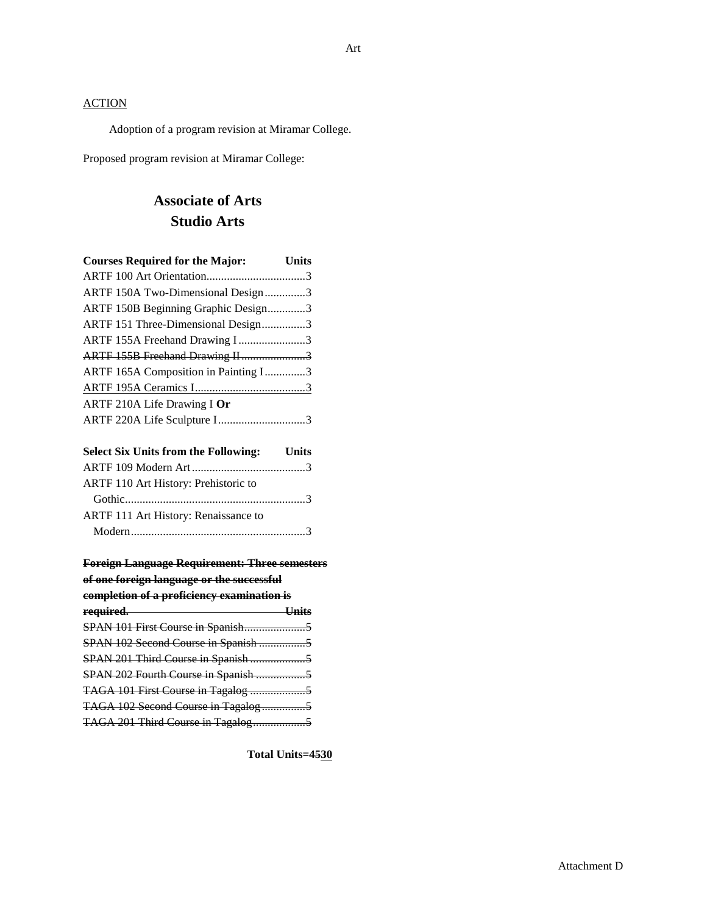Adoption of a program revision at Miramar College.

Proposed program revision at Miramar College:

# **Associate of Arts Studio Arts**

| <b>Courses Required for the Major:</b> | <b>Units</b> |
|----------------------------------------|--------------|
|                                        |              |
| ARTF 150A Two-Dimensional Design3      |              |
| ARTF 150B Beginning Graphic Design3    |              |
| ARTF 151 Three-Dimensional Design3     |              |
| ARTF 155A Freehand Drawing I3          |              |
| ARTF 155B Freehand Drawing II3         |              |
| ARTF 165A Composition in Painting I3   |              |
|                                        |              |
| ARTF 210A Life Drawing I Or            |              |
| ARTF 220A Life Sculpture I3            |              |
|                                        |              |

| <b>Select Six Units from the Following:</b> Units |  |
|---------------------------------------------------|--|
|                                                   |  |
| ARTF 110 Art History: Prehistoric to              |  |
|                                                   |  |
| ARTF 111 Art History: Renaissance to              |  |
|                                                   |  |

| <b>Foreign Language Requirement: Three semesters</b> |        |
|------------------------------------------------------|--------|
| of one foreign language or the successful            |        |
| completion of a proficiency examination is           |        |
| required. ——                                         | -Units |
|                                                      |        |
|                                                      |        |
|                                                      |        |
|                                                      |        |
|                                                      |        |
|                                                      |        |
| TAGA 201 Third Course in Tagalog5                    |        |
|                                                      |        |

**Total Units=4530**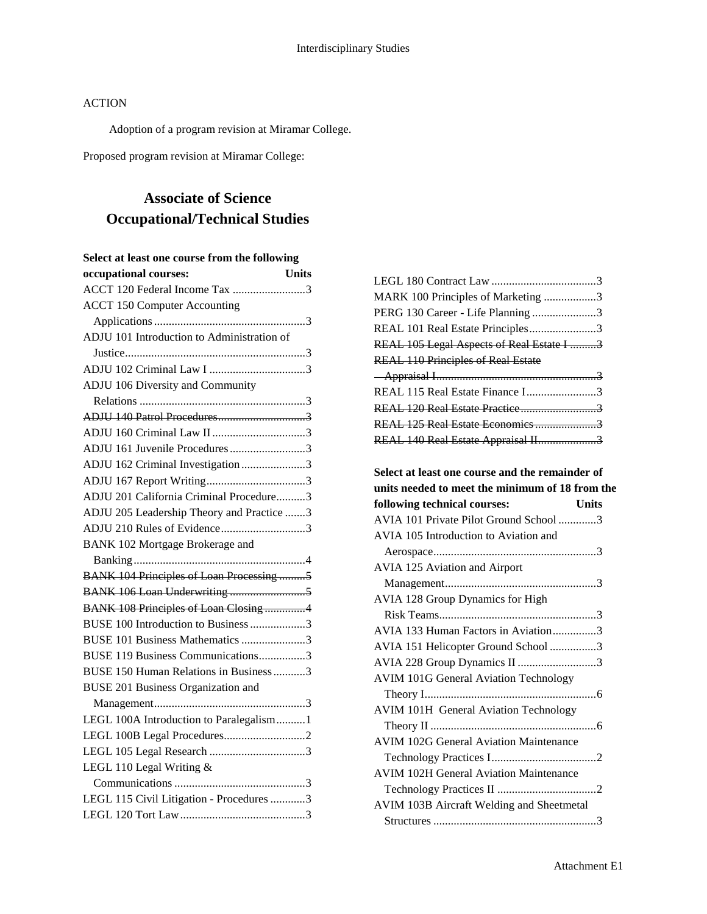Adoption of a program revision at Miramar College.

Proposed program revision at Miramar College:

## **Associate of Science Occupational/Technical Studies**

| Select at least one course from the following   |
|-------------------------------------------------|
| occupational courses:<br><b>Units</b>           |
| ACCT 120 Federal Income Tax 3                   |
| <b>ACCT 150 Computer Accounting</b>             |
|                                                 |
| ADJU 101 Introduction to Administration of      |
|                                                 |
|                                                 |
| ADJU 106 Diversity and Community                |
|                                                 |
| ADJU 140 Patrol Procedures3                     |
|                                                 |
| ADJU 161 Juvenile Procedures3                   |
| ADJU 162 Criminal Investigation 3               |
|                                                 |
| ADJU 201 California Criminal Procedure3         |
| ADJU 205 Leadership Theory and Practice 3       |
| ADJU 210 Rules of Evidence3                     |
| BANK 102 Mortgage Brokerage and                 |
|                                                 |
| <b>BANK 104 Principles of Loan Processing 5</b> |
|                                                 |
| <b>BANK 108 Principles of Loan Closing 4</b>    |
| BUSE 100 Introduction to Business 3             |
| BUSE 101 Business Mathematics 3                 |
| BUSE 119 Business Communications3               |
| BUSE 150 Human Relations in Business 3          |
| <b>BUSE 201 Business Organization and</b>       |
|                                                 |
| LEGL 100A Introduction to Paralegalism1         |
|                                                 |
|                                                 |
| LEGL 110 Legal Writing &                        |
|                                                 |
| LEGL 115 Civil Litigation - Procedures 3        |
|                                                 |

| MARK 100 Principles of Marketing 3        |  |
|-------------------------------------------|--|
| PERG 130 Career - Life Planning 3         |  |
| REAL 101 Real Estate Principles3          |  |
| REAL 105 Legal Aspects of Real Estate I 3 |  |
| <b>REAL 110 Principles of Real Estate</b> |  |
|                                           |  |
|                                           |  |
| REAL 115 Real Estate Finance I3           |  |
|                                           |  |
| REAL 125 Real Estate Economics 3          |  |

**Select at least one course and the remainder of units needed to meet the minimum of 18 from the following technical courses: Units** AVIA 101 Private Pilot Ground School .............3 AVIA 105 Introduction to Aviation and Aerospace........................................................3 AVIA 125 Aviation and Airport Management....................................................3 AVIA 128 Group Dynamics for High Risk Teams......................................................3 AVIA 133 Human Factors in Aviation...............3 AVIA 151 Helicopter Ground School ................3 AVIA 228 Group Dynamics II ...........................3 AVIM 101G General Aviation Technology Theory I...........................................................6 AVIM 101H General Aviation Technology Theory II .........................................................6 AVIM 102G General Aviation Maintenance Technology Practices I....................................2 AVIM 102H General Aviation Maintenance Technology Practices II ..................................2 AVIM 103B Aircraft Welding and Sheetmetal Structures ........................................................3